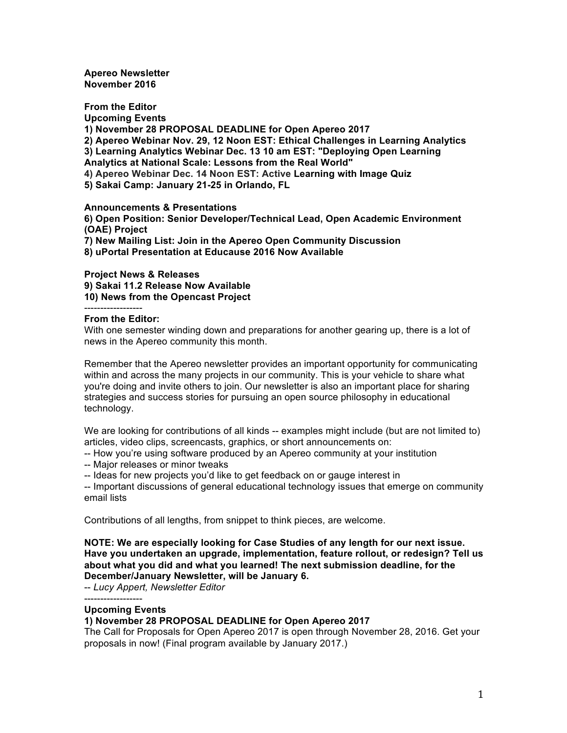**Apereo Newsletter November 2016**

**From the Editor Upcoming Events 1) November 28 PROPOSAL DEADLINE for Open Apereo 2017 2) Apereo Webinar Nov. 29, 12 Noon EST: Ethical Challenges in Learning Analytics 3) Learning Analytics Webinar Dec. 13 10 am EST: "Deploying Open Learning Analytics at National Scale: Lessons from the Real World" 4) Apereo Webinar Dec. 14 Noon EST: Active Learning with Image Quiz 5) Sakai Camp: January 21-25 in Orlando, FL**

**Announcements & Presentations**

**6) Open Position: Senior Developer/Technical Lead, Open Academic Environment (OAE) Project**

**7) New Mailing List: Join in the Apereo Open Community Discussion**

**8) uPortal Presentation at Educause 2016 Now Available**

**Project News & Releases**

**9) Sakai 11.2 Release Now Available 10) News from the Opencast Project**

# **From the Editor:**

With one semester winding down and preparations for another gearing up, there is a lot of news in the Apereo community this month.

Remember that the Apereo newsletter provides an important opportunity for communicating within and across the many projects in our community. This is your vehicle to share what you're doing and invite others to join. Our newsletter is also an important place for sharing strategies and success stories for pursuing an open source philosophy in educational technology.

We are looking for contributions of all kinds -- examples might include (but are not limited to) articles, video clips, screencasts, graphics, or short announcements on:

-- How you're using software produced by an Apereo community at your institution

-- Major releases or minor tweaks

-- Ideas for new projects you'd like to get feedback on or gauge interest in

-- Important discussions of general educational technology issues that emerge on community email lists

Contributions of all lengths, from snippet to think pieces, are welcome.

**NOTE: We are especially looking for Case Studies of any length for our next issue. Have you undertaken an upgrade, implementation, feature rollout, or redesign? Tell us about what you did and what you learned! The next submission deadline, for the December/January Newsletter, will be January 6.**

-- *Lucy Appert, Newsletter Editor*

------------------

### **Upcoming Events**

# **1) November 28 PROPOSAL DEADLINE for Open Apereo 2017**

The Call for Proposals for Open Apereo 2017 is open through November 28, 2016. Get your proposals in now! (Final program available by January 2017.)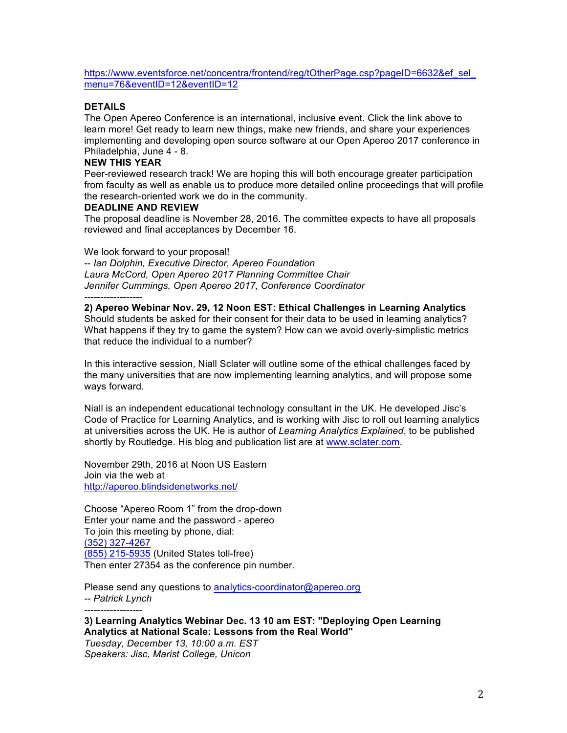https://www.eventsforce.net/concentra/frontend/reg/tOtherPage.csp?pageID=6632&ef\_sel\_ menu=76&eventID=12&eventID=12

# **DETAILS**

The Open Apereo Conference is an international, inclusive event. Click the link above to learn more! Get ready to learn new things, make new friends, and share your experiences implementing and developing open source software at our Open Apereo 2017 conference in Philadelphia, June 4 - 8.

# **NEW THIS YEAR**

------------------

------------------

Peer-reviewed research track! We are hoping this will both encourage greater participation from faculty as well as enable us to produce more detailed online proceedings that will profile the research-oriented work we do in the community.

### **DEADLINE AND REVIEW**

The proposal deadline is November 28, 2016. The committee expects to have all proposals reviewed and final acceptances by December 16.

We look forward to your proposal!

-- *Ian Dolphin, Executive Director, Apereo Foundation Laura McCord, Open Apereo 2017 Planning Committee Chair Jennifer Cummings, Open Apereo 2017, Conference Coordinator*

**2) Apereo Webinar Nov. 29, 12 Noon EST: Ethical Challenges in Learning Analytics** Should students be asked for their consent for their data to be used in learning analytics? What happens if they try to game the system? How can we avoid overly-simplistic metrics that reduce the individual to a number?

In this interactive session, Niall Sclater will outline some of the ethical challenges faced by the many universities that are now implementing learning analytics, and will propose some ways forward.

Niall is an independent educational technology consultant in the UK. He developed Jisc's Code of Practice for Learning Analytics, and is working with Jisc to roll out learning analytics at universities across the UK. He is author of *Learning Analytics Explained*, to be published shortly by Routledge. His blog and publication list are at www.sclater.com.

November 29th, 2016 at Noon US Eastern Join via the web at http://apereo.blindsidenetworks.net/

Choose "Apereo Room 1" from the drop-down Enter your name and the password - apereo To join this meeting by phone, dial: (352) 327-4267 (855) 215-5935 (United States toll-free) Then enter 27354 as the conference pin number.

Please send any questions to analytics-coordinator@apereo.org *-- Patrick Lynch*

# **3) Learning Analytics Webinar Dec. 13 10 am EST: "Deploying Open Learning Analytics at National Scale: Lessons from the Real World"**

*Tuesday, December 13, 10:00 a.m. EST Speakers: Jisc, Marist College, Unicon*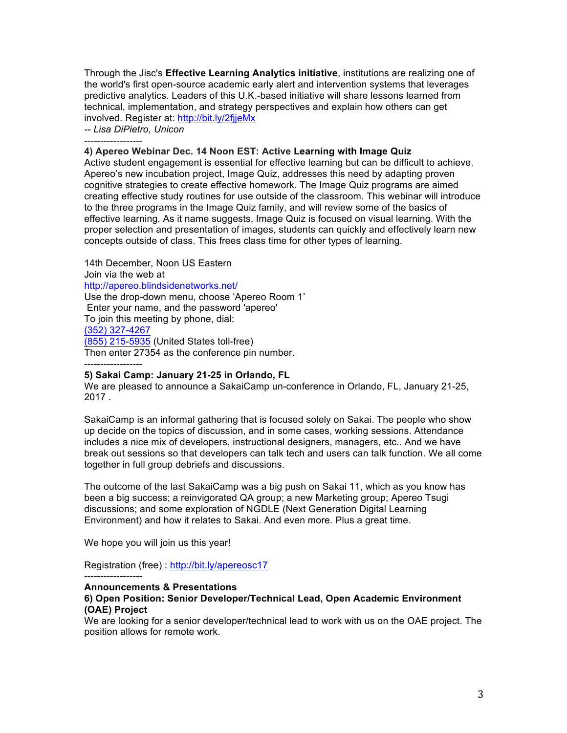Through the Jisc's **Effective Learning Analytics initiative**, institutions are realizing one of the world's first open-source academic early alert and intervention systems that leverages predictive analytics. Leaders of this U.K.-based initiative will share lessons learned from technical, implementation, and strategy perspectives and explain how others can get involved. Register at: http://bit.ly/2fjjeMx

*-- Lisa DiPietro, Unicon* ------------------

------------------

#### **4) Apereo Webinar Dec. 14 Noon EST: Active Learning with Image Quiz**

Active student engagement is essential for effective learning but can be difficult to achieve. Apereo's new incubation project, Image Quiz, addresses this need by adapting proven cognitive strategies to create effective homework. The Image Quiz programs are aimed creating effective study routines for use outside of the classroom. This webinar will introduce to the three programs in the Image Quiz family, and will review some of the basics of effective learning. As it name suggests, Image Quiz is focused on visual learning. With the proper selection and presentation of images, students can quickly and effectively learn new concepts outside of class. This frees class time for other types of learning.

14th December, Noon US Eastern Join via the web at http://apereo.blindsidenetworks.net/ Use the drop-down menu, choose 'Apereo Room 1' Enter your name, and the password 'apereo' To join this meeting by phone, dial: (352) 327-4267 (855) 215-5935 (United States toll-free) Then enter 27354 as the conference pin number.

### **5) Sakai Camp: January 21-25 in Orlando, FL**

We are pleased to announce a SakaiCamp un-conference in Orlando, FL, January 21-25, 2017 .

SakaiCamp is an informal gathering that is focused solely on Sakai. The people who show up decide on the topics of discussion, and in some cases, working sessions. Attendance includes a nice mix of developers, instructional designers, managers, etc.. And we have break out sessions so that developers can talk tech and users can talk function. We all come together in full group debriefs and discussions.

The outcome of the last SakaiCamp was a big push on Sakai 11, which as you know has been a big success; a reinvigorated QA group; a new Marketing group; Apereo Tsugi discussions; and some exploration of NGDLE (Next Generation Digital Learning Environment) and how it relates to Sakai. And even more. Plus a great time.

We hope you will join us this year!

Registration (free) : http://bit.ly/apereosc17

#### ------------------ **Announcements & Presentations**

### **6) Open Position: Senior Developer/Technical Lead, Open Academic Environment (OAE) Project**

We are looking for a senior developer/technical lead to work with us on the OAE project. The position allows for remote work.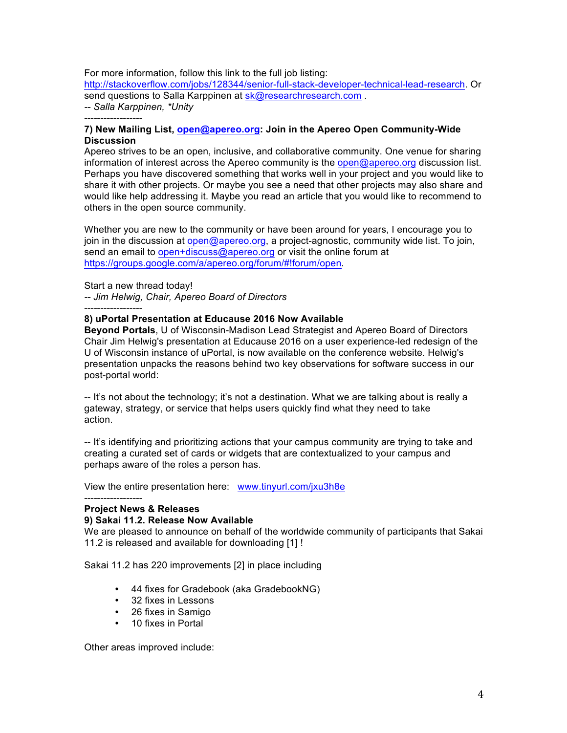For more information, follow this link to the full job listing:

http://stackoverflow.com/jobs/128344/senior-full-stack-developer-technical-lead-research. Or send questions to Salla Karppinen at sk@researchresearch.com. *-- Salla Karppinen, \*Unity*

------------------

# **7) New Mailing List, open@apereo.org: Join in the Apereo Open Community-Wide Discussion**

Apereo strives to be an open, inclusive, and collaborative community. One venue for sharing information of interest across the Apereo community is the open@apereo.org discussion list. Perhaps you have discovered something that works well in your project and you would like to share it with other projects. Or maybe you see a need that other projects may also share and would like help addressing it. Maybe you read an article that you would like to recommend to others in the open source community.

Whether you are new to the community or have been around for years, I encourage you to join in the discussion at open@apereo.org, a project-agnostic, community wide list. To join, send an email to open+discuss@apereo.org or visit the online forum at https://groups.google.com/a/apereo.org/forum/#!forum/open.

Start a new thread today!

*-- Jim Helwig, Chair, Apereo Board of Directors*

------------------

# **8) uPortal Presentation at Educause 2016 Now Available**

**Beyond Portals**, U of Wisconsin-Madison Lead Strategist and Apereo Board of Directors Chair Jim Helwig's presentation at Educause 2016 on a user experience-led redesign of the U of Wisconsin instance of uPortal, is now available on the conference website. Helwig's presentation unpacks the reasons behind two key observations for software success in our post-portal world:

-- It's not about the technology; it's not a destination. What we are talking about is really a gateway, strategy, or service that helps users quickly find what they need to take action.

-- It's identifying and prioritizing actions that your campus community are trying to take and creating a curated set of cards or widgets that are contextualized to your campus and perhaps aware of the roles a person has.

View the entire presentation here: www.tinyurl.com/jxu3h8e

#### ------------------ **Project News & Releases**

# **9) Sakai 11.2. Release Now Available**

We are pleased to announce on behalf of the worldwide community of participants that Sakai 11.2 is released and available for downloading [1] !

Sakai 11.2 has 220 improvements [2] in place including

- 44 fixes for Gradebook (aka GradebookNG)
- 32 fixes in Lessons
- 26 fixes in Samigo
- 10 fixes in Portal

Other areas improved include: